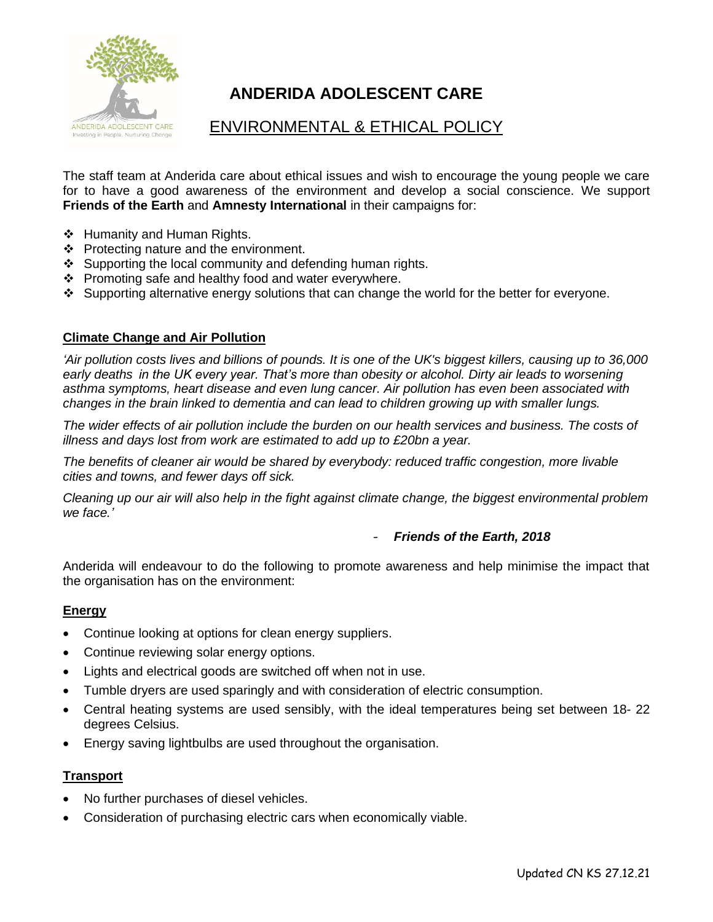

# **ANDERIDA ADOLESCENT CARE**

# ENVIRONMENTAL & ETHICAL POLICY

The staff team at Anderida care about ethical issues and wish to encourage the young people we care for to have a good awareness of the environment and develop a social conscience. We support **Friends of the Earth** and **Amnesty International** in their campaigns for:

- ❖ Humanity and Human Rights.
- ❖ Protecting nature and the environment.
- ❖ Supporting the local community and defending human rights.
- ❖ Promoting safe and healthy food and water everywhere.
- ❖ Supporting alternative energy solutions that can change the world for the better for everyone.

#### **Climate Change and Air Pollution**

'Air pollution costs lives and billions of pounds. It is one of the UK's biggest killers, causing up to 36,000 *[early deaths](https://assets.publishing.service.gov.uk/government/uploads/system/uploads/attachment_data/file/734799/COMEAP_NO2_Report.pdf) in the UK every year. That's more than obesity or alcohol. Dirty air leads to worsening [asthma](https://friendsoftheearth.uk/clean-air/uk-air-pollution-and-asthma-right-clean-air) symptoms, heart disease and even lung cancer. Air pollution has even been associated with changes in the brain linked to dementia and can lead to children growing up with smaller lungs.*

*The wider effects of air pollution include the burden on our health services and business. The costs of illness and days lost from work are estimated to add up to £20bn a year.*

*The benefits of cleaner air would be shared by everybody: reduced traffic congestion, more livable cities and towns, and fewer days off sick.*

*Cleaning up our air will also help in the fight against climate change, the biggest environmental problem we face.'* 

#### - *Friends of the Earth, 2018*

Anderida will endeavour to do the following to promote awareness and help minimise the impact that the organisation has on the environment:

#### **Energy**

- Continue looking at options for clean energy suppliers.
- Continue reviewing solar energy options.
- Lights and electrical goods are switched off when not in use.
- Tumble dryers are used sparingly and with consideration of electric consumption.
- Central heating systems are used sensibly, with the ideal temperatures being set between 18- 22 degrees Celsius.
- Energy saving lightbulbs are used throughout the organisation.

# **Transport**

- No further purchases of diesel vehicles.
- Consideration of purchasing electric cars when economically viable.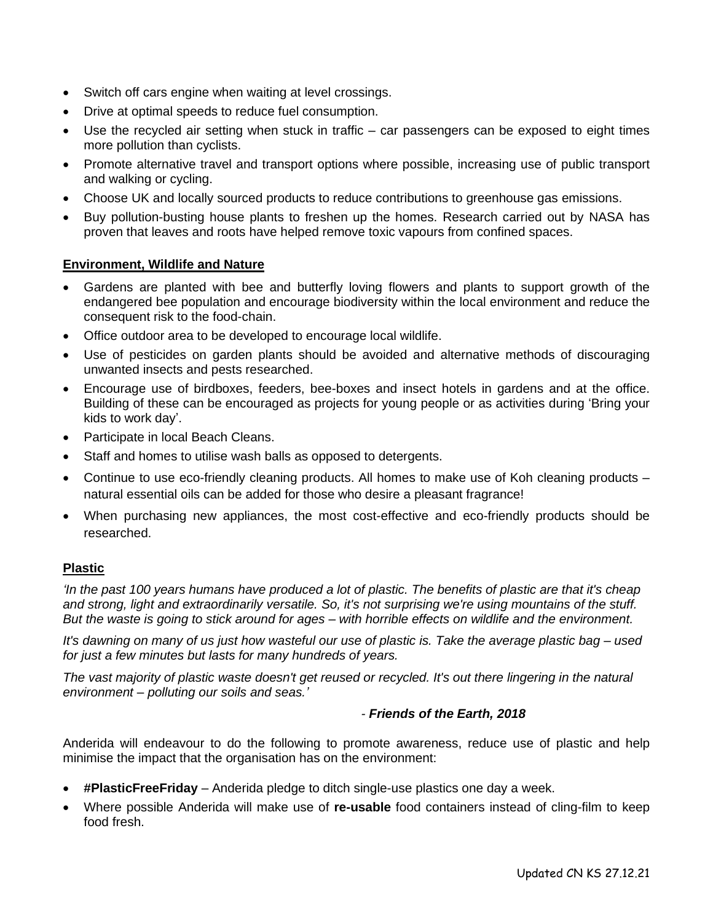- Switch off cars engine when waiting at level crossings.
- Drive at optimal speeds to reduce fuel consumption.
- Use the recycled air setting when stuck in traffic car passengers can be exposed to eight times more pollution than cyclists.
- Promote alternative travel and transport options where possible, increasing use of public transport and walking or cycling.
- Choose UK and locally sourced products to reduce contributions to greenhouse gas emissions.
- Buy pollution-busting house plants to freshen up the homes. Research carried out by NASA has proven that leaves and roots have helped remove toxic vapours from confined spaces.

#### **Environment, Wildlife and Nature**

- Gardens are planted with bee and butterfly loving flowers and plants to support growth of the endangered bee population and encourage biodiversity within the local environment and reduce the consequent risk to the food-chain.
- Office outdoor area to be developed to encourage local wildlife.
- Use of pesticides on garden plants should be avoided and alternative methods of discouraging unwanted insects and pests researched.
- Encourage use of birdboxes, feeders, bee-boxes and insect hotels in gardens and at the office. Building of these can be encouraged as projects for young people or as activities during 'Bring your kids to work day'.
- Participate in local Beach Cleans.
- Staff and homes to utilise wash balls as opposed to detergents.
- Continue to use eco-friendly cleaning products. All homes to make use of Koh cleaning products natural essential oils can be added for those who desire a pleasant fragrance!
- When purchasing new appliances, the most cost-effective and eco-friendly products should be researched.

# **Plastic**

*'In the past 100 years humans have produced a lot of plastic. The benefits of plastic are that it's cheap and strong, light and extraordinarily versatile. So, it's not surprising we're using mountains of the stuff. But the waste is going to stick around for ages – with horrible effects on wildlife and the environment.*

*It's dawning on many of us just how wasteful our use of plastic is. Take the average plastic bag – used for just a few minutes but lasts for many hundreds of years.*

*The vast majority of plastic waste doesn't get reused or recycled. It's out there lingering in the natural environment – polluting our soils and seas.'*

#### *- Friends of the Earth, 2018*

Anderida will endeavour to do the following to promote awareness, reduce use of plastic and help minimise the impact that the organisation has on the environment:

- **#PlasticFreeFriday** Anderida pledge to ditch single-use plastics one day a week.
- Where possible Anderida will make use of **re-usable** food containers instead of cling-film to keep food fresh.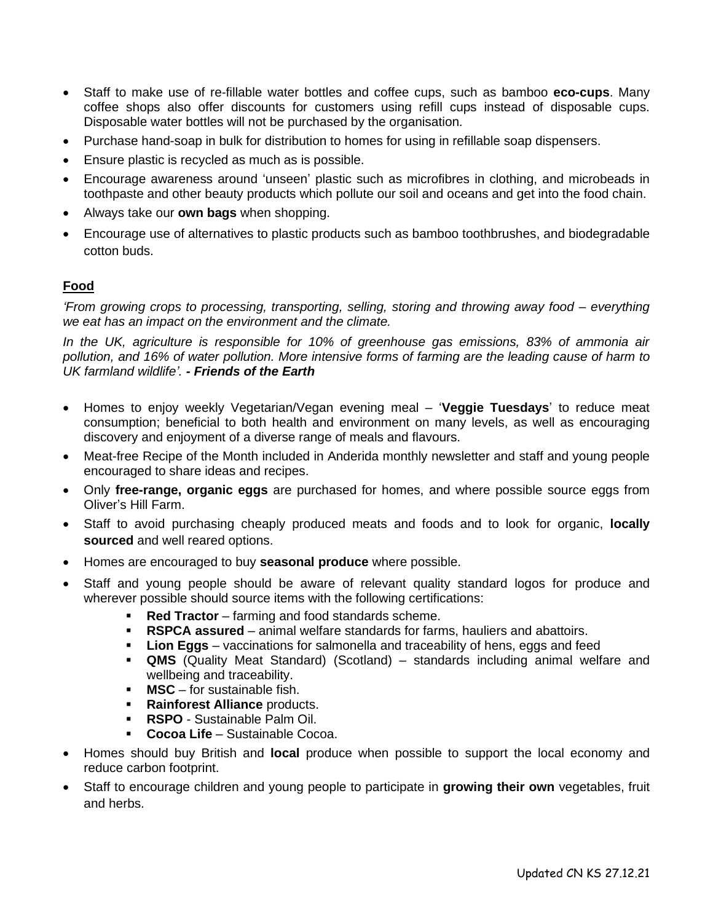- Staff to make use of re-fillable water bottles and coffee cups, such as bamboo **eco-cups**. Many coffee shops also offer discounts for customers using refill cups instead of disposable cups. Disposable water bottles will not be purchased by the organisation.
- Purchase hand-soap in bulk for distribution to homes for using in refillable soap dispensers.
- Ensure plastic is recycled as much as is possible.
- Encourage awareness around 'unseen' plastic such as microfibres in clothing, and microbeads in toothpaste and other beauty products which pollute our soil and oceans and get into the food chain.
- Always take our **own bags** when shopping.
- Encourage use of alternatives to plastic products such as bamboo toothbrushes, and biodegradable cotton buds.

# **Food**

*'From growing crops to processing, transporting, selling, storing and throwing away food – everything we eat has an impact on the environment and the climate.*

*In the UK, agriculture is responsible for 10% of greenhouse gas emissions, 83% of ammonia air pollution, and 16% of water pollution. More intensive forms of farming are the leading cause of harm to UK farmland wildlife'. - Friends of the Earth*

- Homes to enjoy weekly Vegetarian/Vegan evening meal '**Veggie Tuesdays**' to reduce meat consumption; beneficial to both health and environment on many levels, as well as encouraging discovery and enjoyment of a diverse range of meals and flavours.
- Meat-free Recipe of the Month included in Anderida monthly newsletter and staff and young people encouraged to share ideas and recipes.
- Only **free-range, organic eggs** are purchased for homes, and where possible source eggs from Oliver's Hill Farm.
- Staff to avoid purchasing cheaply produced meats and foods and to look for organic, **locally sourced** and well reared options.
- Homes are encouraged to buy **seasonal produce** where possible.
- Staff and young people should be aware of relevant quality standard logos for produce and wherever possible should source items with the following certifications:
	- **Red Tractor** farming and food standards scheme.
	- **RSPCA assured** animal welfare standards for farms, hauliers and abattoirs.
	- **Lion Eggs** vaccinations for salmonella and traceability of hens, eggs and feed
	- **QMS** (Quality Meat Standard) (Scotland) standards including animal welfare and wellbeing and traceability.
	- **MSC** for sustainable fish.
	- **Rainforest Alliance** products.
	- **RSPO** Sustainable Palm Oil.
	- **Cocoa Life** Sustainable Cocoa.
- Homes should buy British and **local** produce when possible to support the local economy and reduce carbon footprint.
- Staff to encourage children and young people to participate in **growing their own** vegetables, fruit and herbs.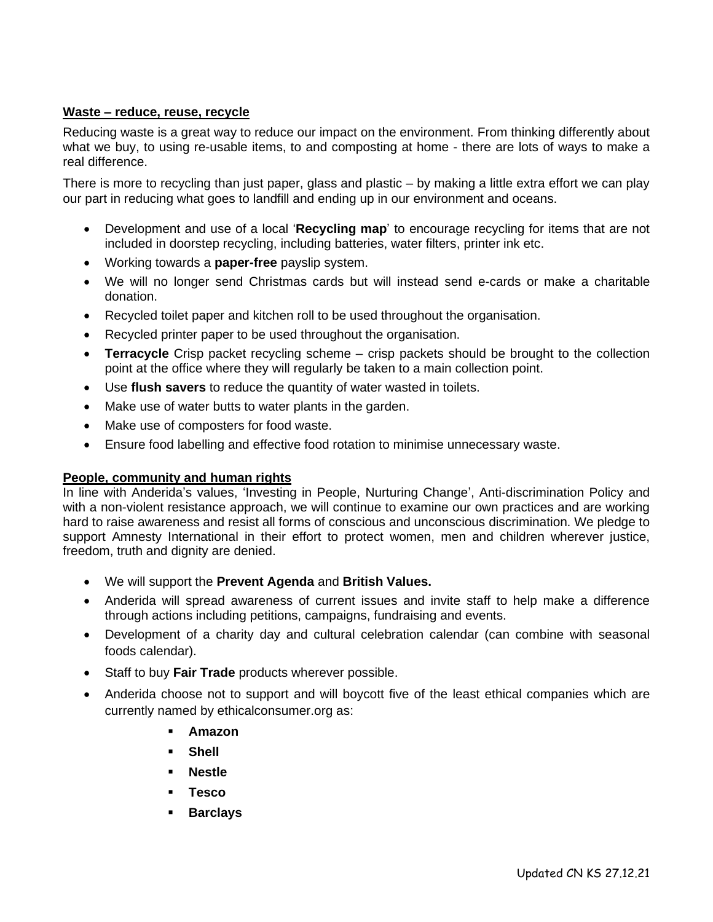# **Waste – reduce, reuse, recycle**

Reducing waste is a great way to reduce our impact on the environment. From thinking differently about what we buy, to using re-usable items, to and composting at home - there are lots of ways to make a real difference.

There is more to recycling than just paper, glass and plastic – by making a little extra effort we can play our part in reducing what goes to landfill and ending up in our environment and oceans.

- Development and use of a local '**Recycling map**' to encourage recycling for items that are not included in doorstep recycling, including batteries, water filters, printer ink etc.
- Working towards a **paper-free** payslip system.
- We will no longer send Christmas cards but will instead send e-cards or make a charitable donation.
- Recycled toilet paper and kitchen roll to be used throughout the organisation.
- Recycled printer paper to be used throughout the organisation.
- **Terracycle** Crisp packet recycling scheme crisp packets should be brought to the collection point at the office where they will regularly be taken to a main collection point.
- Use **flush savers** to reduce the quantity of water wasted in toilets.
- Make use of water butts to water plants in the garden.
- Make use of composters for food waste.
- Ensure food labelling and effective food rotation to minimise unnecessary waste.

#### **People, community and human rights**

In line with Anderida's values, 'Investing in People, Nurturing Change', Anti-discrimination Policy and with a non-violent resistance approach, we will continue to examine our own practices and are working hard to raise awareness and resist all forms of conscious and unconscious discrimination. We pledge to support Amnesty International in their effort to protect women, men and children wherever justice, freedom, truth and dignity are denied.

- We will support the **Prevent Agenda** and **British Values.**
- Anderida will spread awareness of current issues and invite staff to help make a difference through actions including petitions, campaigns, fundraising and events.
- Development of a charity day and cultural celebration calendar (can combine with seasonal foods calendar).
- Staff to buy **Fair Trade** products wherever possible.
- Anderida choose not to support and will boycott five of the least ethical companies which are currently named by ethicalconsumer.org as:
	- **Amazon**
	- **Shell**
	- **Nestle**
	- **Tesco**
	- **Barclays**